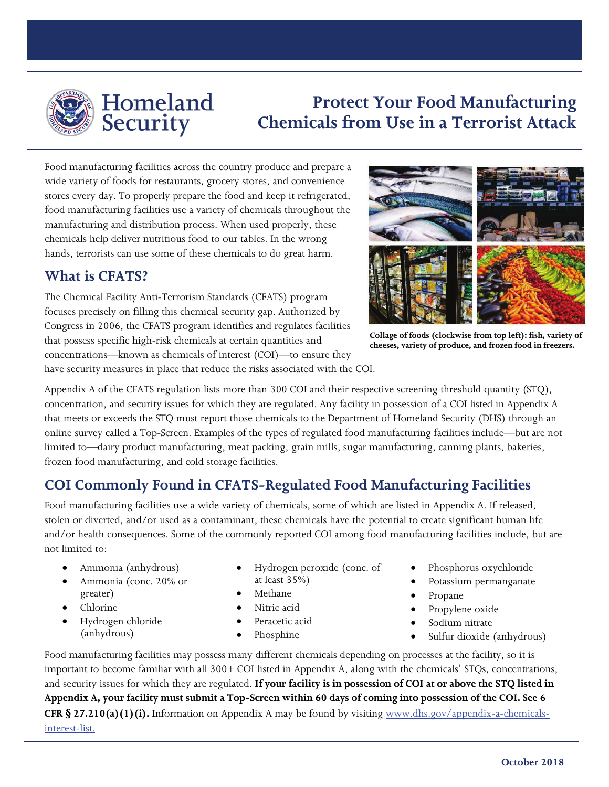

Homeland Security

# **Protect Your Food Manufacturing Chemicals from Use in a Terrorist Attack**

Food manufacturing facilities across the country produce and prepare a wide variety of foods for restaurants, grocery stores, and convenience stores every day. To properly prepare the food and keep it refrigerated, food manufacturing facilities use a variety of chemicals throughout the manufacturing and distribution process. When used properly, these chemicals help deliver nutritious food to our tables. In the wrong hands, terrorists can use some of these chemicals to do great harm.

#### **What is CFATS?**

The Chemical Facility Anti-Terrorism Standards (CFATS) program focuses precisely on filling this chemical security gap. Authorized by Congress in 2006, the CFATS program identifies and regulates facilities that possess specific high-risk chemicals at certain quantities and concentrations—known as chemicals of interest (COI)—to ensure they have security measures in place that reduce the risks associated with the COI.



**Collage of foods (clockwise from top left): fish, variety of cheeses, variety of produce, and frozen food in freezers.** 

Appendix A of the CFATS regulation lists more than 300 COI and their respective screening threshold quantity (STQ), concentration, and security issues for which they are regulated. Any facility in possession of a COI listed in Appendix A that meets or exceeds the STQ must report those chemicals to the Department of Homeland Security (DHS) through an online survey called a Top-Screen. Examples of the types of regulated food manufacturing facilities include—but are not limited to—dairy product manufacturing, meat packing, grain mills, sugar manufacturing, canning plants, bakeries, frozen food manufacturing, and cold storage facilities.

# **COI Commonly Found in CFATS-Regulated Food Manufacturing Facilities**

Food manufacturing facilities use a wide variety of chemicals, some of which are listed in Appendix A. If released, stolen or diverted, and/or used as a contaminant, these chemicals have the potential to create significant human life and/or health consequences. Some of the commonly reported COI among food manufacturing facilities include, but are not limited to:

- Ammonia (anhydrous)
- Ammonia (conc. 20% or greater)
- Chlorine
- Hydrogen chloride (anhydrous)
- Hydrogen peroxide (conc. of
- at least 35%) • Methane
- 
- Nitric acid
- Peracetic acid
- Phosphine
- Phosphorus oxychloride
- Potassium permanganate
- Propane
- Propylene oxide
- Sodium nitrate
- Sulfur dioxide (anhydrous)

Food manufacturing facilities may possess many different chemicals depending on processes at the facility, so it is important to become familiar with all 300+ COI listed in Appendix A, along with the chemicals' STQs, concentrations, and security issues for which they are regulated. **If your facility is in possession of COI at or above the STQ listed in Appendix A, your facility must submit a Top-Screen within 60 days of coming into possession of the COI. See 6 CFR § 27.210(a)(1)(i).** Information on Appendix A may be found by visiting [www.dhs.gov/appendix-a-chemicals](http://www.dhs.gov/appendix-a-chemicals-interest-list)[interest-list.](http://www.dhs.gov/appendix-a-chemicals-interest-list)